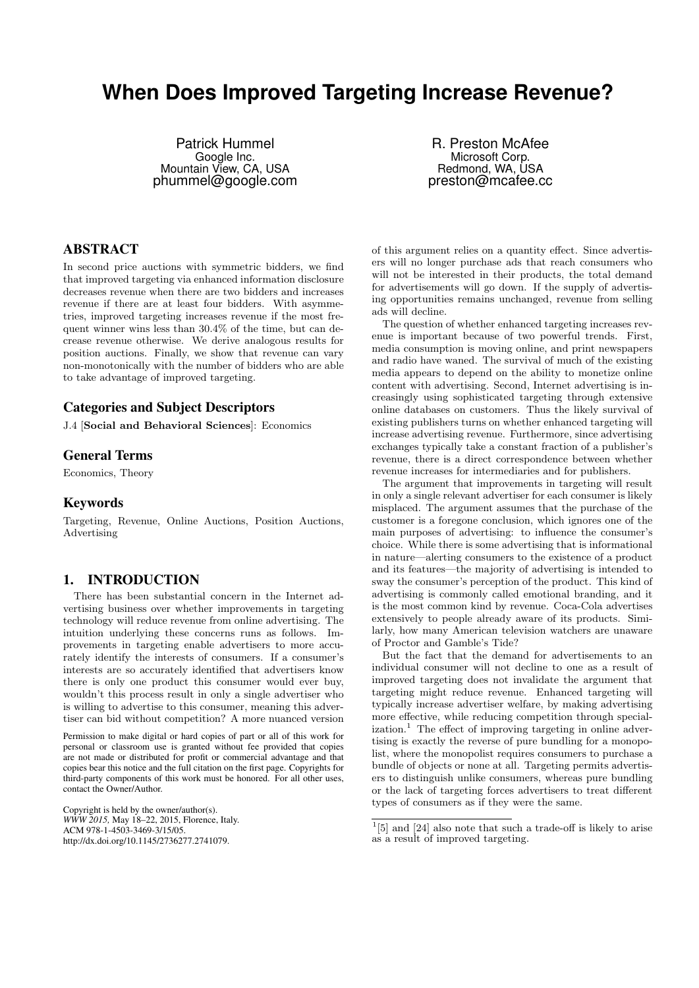# **When Does Improved Targeting Increase Revenue?**

Patrick Hummel Google Inc. Mountain View, CA, USA phummel@google.com

R. Preston McAfee Microsoft Corp. Redmond, WA, USA preston@mcafee.cc

## ABSTRACT

In second price auctions with symmetric bidders, we find that improved targeting via enhanced information disclosure decreases revenue when there are two bidders and increases revenue if there are at least four bidders. With asymmetries, improved targeting increases revenue if the most frequent winner wins less than 30.4% of the time, but can decrease revenue otherwise. We derive analogous results for position auctions. Finally, we show that revenue can vary non-monotonically with the number of bidders who are able to take advantage of improved targeting.

#### Categories and Subject Descriptors

J.4 [Social and Behavioral Sciences]: Economics

## General Terms

Economics, Theory

#### Keywords

Targeting, Revenue, Online Auctions, Position Auctions, Advertising

#### 1. INTRODUCTION

There has been substantial concern in the Internet advertising business over whether improvements in targeting technology will reduce revenue from online advertising. The intuition underlying these concerns runs as follows. Improvements in targeting enable advertisers to more accurately identify the interests of consumers. If a consumer's interests are so accurately identified that advertisers know there is only one product this consumer would ever buy, wouldn't this process result in only a single advertiser who is willing to advertise to this consumer, meaning this advertiser can bid without competition? A more nuanced version

Permission to make digital or hard copies of part or all of this work for personal or classroom use is granted without fee provided that copies are not made or distributed for profit or commercial advantage and that copies bear this notice and the full citation on the first page. Copyrights for third-party components of this work must be honored. For all other uses, contact the Owner/Author.

Copyright is held by the owner/author(s). *WWW 2015,* May 18–22, 2015, Florence, Italy. ACM 978-1-4503-3469-3/15/05. http://dx.doi.org/10.1145/2736277.2741079.

of this argument relies on a quantity effect. Since advertisers will no longer purchase ads that reach consumers who will not be interested in their products, the total demand for advertisements will go down. If the supply of advertising opportunities remains unchanged, revenue from selling ads will decline.

The question of whether enhanced targeting increases revenue is important because of two powerful trends. First, media consumption is moving online, and print newspapers and radio have waned. The survival of much of the existing media appears to depend on the ability to monetize online content with advertising. Second, Internet advertising is increasingly using sophisticated targeting through extensive online databases on customers. Thus the likely survival of existing publishers turns on whether enhanced targeting will increase advertising revenue. Furthermore, since advertising exchanges typically take a constant fraction of a publisher's revenue, there is a direct correspondence between whether revenue increases for intermediaries and for publishers.

The argument that improvements in targeting will result in only a single relevant advertiser for each consumer is likely misplaced. The argument assumes that the purchase of the customer is a foregone conclusion, which ignores one of the main purposes of advertising: to influence the consumer's choice. While there is some advertising that is informational in nature—alerting consumers to the existence of a product and its features—the majority of advertising is intended to sway the consumer's perception of the product. This kind of advertising is commonly called emotional branding, and it is the most common kind by revenue. Coca-Cola advertises extensively to people already aware of its products. Similarly, how many American television watchers are unaware of Proctor and Gamble's Tide?

But the fact that the demand for advertisements to an individual consumer will not decline to one as a result of improved targeting does not invalidate the argument that targeting might reduce revenue. Enhanced targeting will typically increase advertiser welfare, by making advertising more effective, while reducing competition through specialization.<sup>1</sup> The effect of improving targeting in online advertising is exactly the reverse of pure bundling for a monopolist, where the monopolist requires consumers to purchase a bundle of objects or none at all. Targeting permits advertisers to distinguish unlike consumers, whereas pure bundling or the lack of targeting forces advertisers to treat different types of consumers as if they were the same.

 $1\vert 5\vert$  and  $\vert 24\vert$  also note that such a trade-off is likely to arise as a result of improved targeting.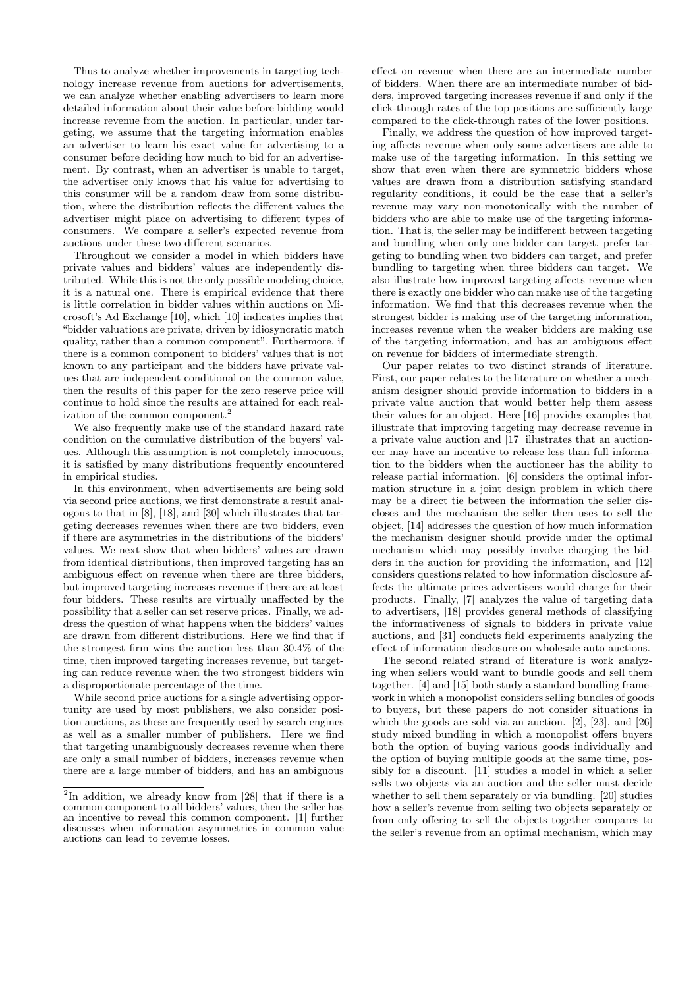Thus to analyze whether improvements in targeting technology increase revenue from auctions for advertisements, we can analyze whether enabling advertisers to learn more detailed information about their value before bidding would increase revenue from the auction. In particular, under targeting, we assume that the targeting information enables an advertiser to learn his exact value for advertising to a consumer before deciding how much to bid for an advertisement. By contrast, when an advertiser is unable to target, the advertiser only knows that his value for advertising to this consumer will be a random draw from some distribution, where the distribution reflects the different values the advertiser might place on advertising to different types of consumers. We compare a seller's expected revenue from auctions under these two different scenarios.

Throughout we consider a model in which bidders have private values and bidders' values are independently distributed. While this is not the only possible modeling choice, it is a natural one. There is empirical evidence that there is little correlation in bidder values within auctions on Microsoft's Ad Exchange [10], which [10] indicates implies that "bidder valuations are private, driven by idiosyncratic match quality, rather than a common component". Furthermore, if there is a common component to bidders' values that is not known to any participant and the bidders have private values that are independent conditional on the common value, then the results of this paper for the zero reserve price will continue to hold since the results are attained for each realization of the common component.<sup>2</sup>

We also frequently make use of the standard hazard rate condition on the cumulative distribution of the buyers' values. Although this assumption is not completely innocuous, it is satisfied by many distributions frequently encountered in empirical studies.

In this environment, when advertisements are being sold via second price auctions, we first demonstrate a result analogous to that in [8], [18], and [30] which illustrates that targeting decreases revenues when there are two bidders, even if there are asymmetries in the distributions of the bidders' values. We next show that when bidders' values are drawn from identical distributions, then improved targeting has an ambiguous effect on revenue when there are three bidders, but improved targeting increases revenue if there are at least four bidders. These results are virtually unaffected by the possibility that a seller can set reserve prices. Finally, we address the question of what happens when the bidders' values are drawn from different distributions. Here we find that if the strongest firm wins the auction less than 30.4% of the time, then improved targeting increases revenue, but targeting can reduce revenue when the two strongest bidders win a disproportionate percentage of the time.

While second price auctions for a single advertising opportunity are used by most publishers, we also consider position auctions, as these are frequently used by search engines as well as a smaller number of publishers. Here we find that targeting unambiguously decreases revenue when there are only a small number of bidders, increases revenue when there are a large number of bidders, and has an ambiguous effect on revenue when there are an intermediate number of bidders. When there are an intermediate number of bidders, improved targeting increases revenue if and only if the click-through rates of the top positions are sufficiently large compared to the click-through rates of the lower positions.

Finally, we address the question of how improved targeting affects revenue when only some advertisers are able to make use of the targeting information. In this setting we show that even when there are symmetric bidders whose values are drawn from a distribution satisfying standard regularity conditions, it could be the case that a seller's revenue may vary non-monotonically with the number of bidders who are able to make use of the targeting information. That is, the seller may be indifferent between targeting and bundling when only one bidder can target, prefer targeting to bundling when two bidders can target, and prefer bundling to targeting when three bidders can target. We also illustrate how improved targeting affects revenue when there is exactly one bidder who can make use of the targeting information. We find that this decreases revenue when the strongest bidder is making use of the targeting information, increases revenue when the weaker bidders are making use of the targeting information, and has an ambiguous effect on revenue for bidders of intermediate strength.

Our paper relates to two distinct strands of literature. First, our paper relates to the literature on whether a mechanism designer should provide information to bidders in a private value auction that would better help them assess their values for an object. Here [16] provides examples that illustrate that improving targeting may decrease revenue in a private value auction and [17] illustrates that an auctioneer may have an incentive to release less than full information to the bidders when the auctioneer has the ability to release partial information. [6] considers the optimal information structure in a joint design problem in which there may be a direct tie between the information the seller discloses and the mechanism the seller then uses to sell the object, [14] addresses the question of how much information the mechanism designer should provide under the optimal mechanism which may possibly involve charging the bidders in the auction for providing the information, and [12] considers questions related to how information disclosure affects the ultimate prices advertisers would charge for their products. Finally, [7] analyzes the value of targeting data to advertisers, [18] provides general methods of classifying the informativeness of signals to bidders in private value auctions, and [31] conducts field experiments analyzing the effect of information disclosure on wholesale auto auctions.

The second related strand of literature is work analyzing when sellers would want to bundle goods and sell them together. [4] and [15] both study a standard bundling framework in which a monopolist considers selling bundles of goods to buyers, but these papers do not consider situations in which the goods are sold via an auction. [2], [23], and [26] study mixed bundling in which a monopolist offers buyers both the option of buying various goods individually and the option of buying multiple goods at the same time, possibly for a discount. [11] studies a model in which a seller sells two objects via an auction and the seller must decide whether to sell them separately or via bundling. [20] studies how a seller's revenue from selling two objects separately or from only offering to sell the objects together compares to the seller's revenue from an optimal mechanism, which may

<sup>&</sup>lt;sup>2</sup>In addition, we already know from [28] that if there is a common component to all bidders' values, then the seller has an incentive to reveal this common component. [1] further discusses when information asymmetries in common value auctions can lead to revenue losses.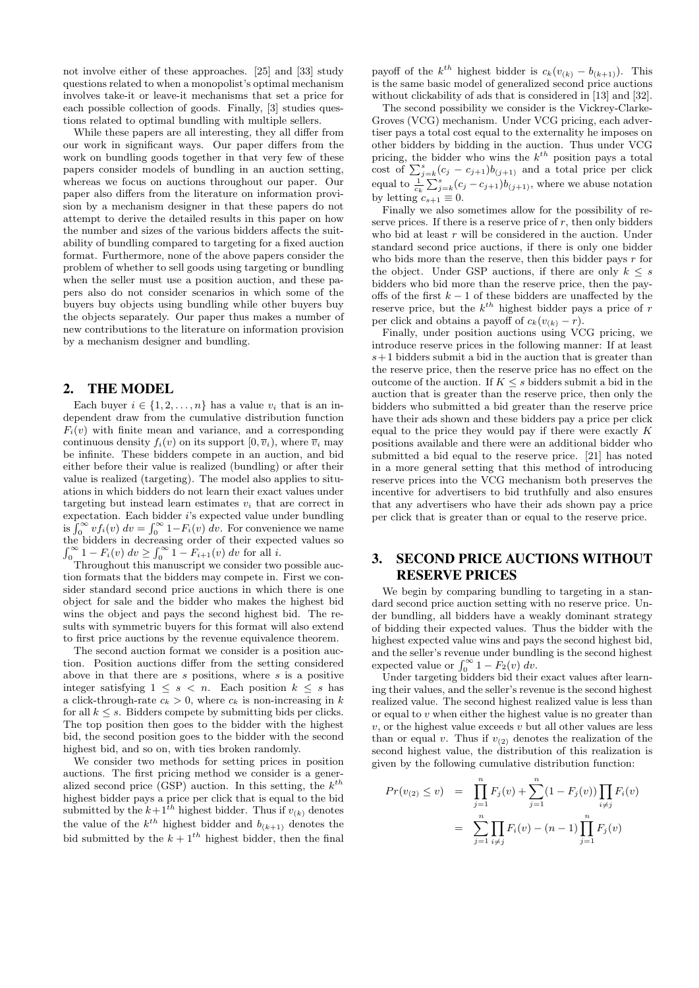not involve either of these approaches. [25] and [33] study questions related to when a monopolist's optimal mechanism involves take-it or leave-it mechanisms that set a price for each possible collection of goods. Finally, [3] studies questions related to optimal bundling with multiple sellers.

While these papers are all interesting, they all differ from our work in significant ways. Our paper differs from the work on bundling goods together in that very few of these papers consider models of bundling in an auction setting, whereas we focus on auctions throughout our paper. Our paper also differs from the literature on information provision by a mechanism designer in that these papers do not attempt to derive the detailed results in this paper on how the number and sizes of the various bidders affects the suitability of bundling compared to targeting for a fixed auction format. Furthermore, none of the above papers consider the problem of whether to sell goods using targeting or bundling when the seller must use a position auction, and these papers also do not consider scenarios in which some of the buyers buy objects using bundling while other buyers buy the objects separately. Our paper thus makes a number of new contributions to the literature on information provision by a mechanism designer and bundling.

### 2. THE MODEL

Each buyer  $i \in \{1, 2, ..., n\}$  has a value  $v_i$  that is an independent draw from the cumulative distribution function  $F_i(v)$  with finite mean and variance, and a corresponding continuous density  $f_i(v)$  on its support  $[0, \overline{v}_i)$ , where  $\overline{v}_i$  may be infinite. These bidders compete in an auction, and bid either before their value is realized (bundling) or after their value is realized (targeting). The model also applies to situations in which bidders do not learn their exact values under targeting but instead learn estimates  $v_i$  that are correct in expectation. Each bidder i's expected value under bundling is  $\int_0^\infty v f_i(v) dv = \int_0^\infty 1 - F_i(v) dv$ . For convenience we name the bidders in decreasing order of their expected values so  $\int_0^\infty 1 - F_i(v) dv \ge \int_0^\infty 1 - F_{i+1}(v) dv$  for all *i*.

Throughout this manuscript we consider two possible auction formats that the bidders may compete in. First we consider standard second price auctions in which there is one object for sale and the bidder who makes the highest bid wins the object and pays the second highest bid. The results with symmetric buyers for this format will also extend to first price auctions by the revenue equivalence theorem.

The second auction format we consider is a position auction. Position auctions differ from the setting considered above in that there are  $s$  positions, where  $s$  is a positive integer satisfying  $1 \leq s \leq n$ . Each position  $k \leq s$  has a click-through-rate  $c_k > 0$ , where  $c_k$  is non-increasing in k for all  $k \leq s$ . Bidders compete by submitting bids per clicks. The top position then goes to the bidder with the highest bid, the second position goes to the bidder with the second highest bid, and so on, with ties broken randomly.

We consider two methods for setting prices in position auctions. The first pricing method we consider is a generalized second price (GSP) auction. In this setting, the  $k^{th}$ highest bidder pays a price per click that is equal to the bid submitted by the  $k+1$ <sup>th</sup> highest bidder. Thus if  $v_{(k)}$  denotes the value of the  $k^{th}$  highest bidder and  $b_{(k+1)}$  denotes the bid submitted by the  $k + 1^{th}$  highest bidder, then the final

payoff of the  $k^{th}$  highest bidder is  $c_k(v_{(k)} - b_{(k+1)})$ . This is the same basic model of generalized second price auctions without clickability of ads that is considered in [13] and [32].

The second possibility we consider is the Vickrey-Clarke-Groves (VCG) mechanism. Under VCG pricing, each advertiser pays a total cost equal to the externality he imposes on other bidders by bidding in the auction. Thus under VCG pricing, the bidder who wins the  $k^{th}$  position pays a total cost of  $\sum_{j=k}^{s} (c_j - c_{j+1}) b_{(j+1)}$  and a total price per click equal to  $\frac{1}{c_k} \sum_{j=k}^{s} (c_j - c_{j+1}) b_{(j+1)}$ , where we abuse notation by letting  $c_{s+1} \equiv 0$ .

Finally we also sometimes allow for the possibility of reserve prices. If there is a reserve price of  $r$ , then only bidders who bid at least r will be considered in the auction. Under standard second price auctions, if there is only one bidder who bids more than the reserve, then this bidder pays  $r$  for the object. Under GSP auctions, if there are only  $k \leq s$ bidders who bid more than the reserve price, then the payoffs of the first  $k - 1$  of these bidders are unaffected by the reserve price, but the  $k^{th}$  highest bidder pays a price of r per click and obtains a payoff of  $c_k(v_{(k)} - r)$ .

Finally, under position auctions using VCG pricing, we introduce reserve prices in the following manner: If at least  $s+1$  bidders submit a bid in the auction that is greater than the reserve price, then the reserve price has no effect on the outcome of the auction. If  $K \leq s$  bidders submit a bid in the auction that is greater than the reserve price, then only the bidders who submitted a bid greater than the reserve price have their ads shown and these bidders pay a price per click equal to the price they would pay if there were exactly  $K$ positions available and there were an additional bidder who submitted a bid equal to the reserve price. [21] has noted in a more general setting that this method of introducing reserve prices into the VCG mechanism both preserves the incentive for advertisers to bid truthfully and also ensures that any advertisers who have their ads shown pay a price per click that is greater than or equal to the reserve price.

## 3. SECOND PRICE AUCTIONS WITHOUT RESERVE PRICES

We begin by comparing bundling to targeting in a standard second price auction setting with no reserve price. Under bundling, all bidders have a weakly dominant strategy of bidding their expected values. Thus the bidder with the highest expected value wins and pays the second highest bid, and the seller's revenue under bundling is the second highest expected value or  $\int_0^\infty 1 - F_2(v) dv$ .

Under targeting bidders bid their exact values after learning their values, and the seller's revenue is the second highest realized value. The second highest realized value is less than or equal to  $v$  when either the highest value is no greater than  $v$ , or the highest value exceeds  $v$  but all other values are less than or equal v. Thus if  $v_{(2)}$  denotes the realization of the second highest value, the distribution of this realization is given by the following cumulative distribution function:

$$
Pr(v_{(2)} \le v) = \prod_{j=1}^{n} F_j(v) + \sum_{j=1}^{n} (1 - F_j(v)) \prod_{i \ne j} F_i(v)
$$
  
= 
$$
\sum_{j=1}^{n} \prod_{i \ne j} F_i(v) - (n-1) \prod_{j=1}^{n} F_j(v)
$$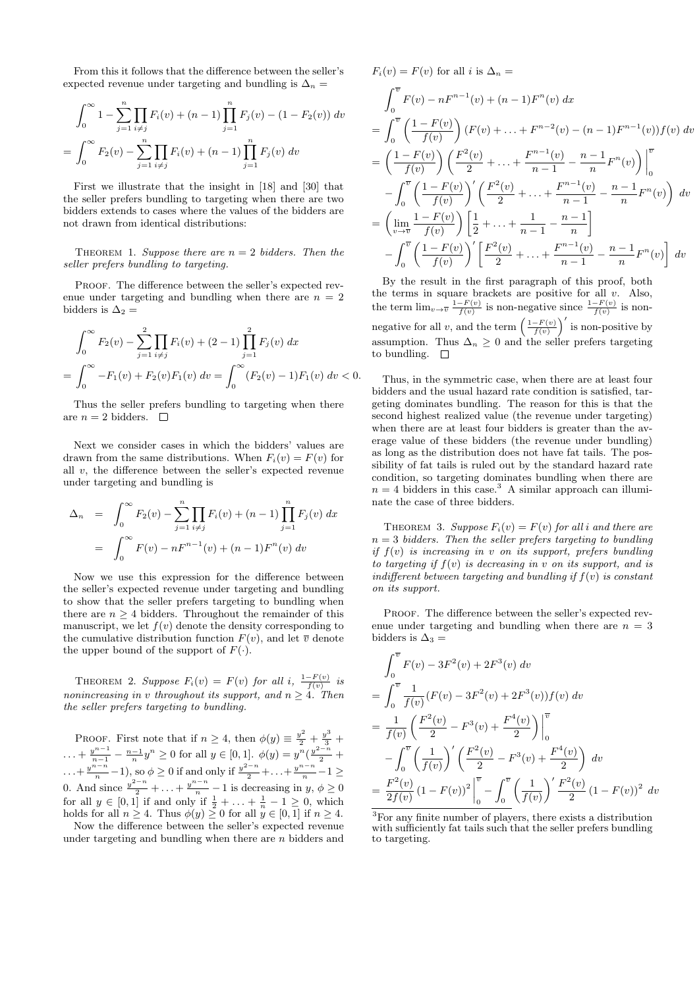From this it follows that the difference between the seller's expected revenue under targeting and bundling is  $\Delta_n =$ 

$$
\int_0^\infty 1 - \sum_{j=1}^n \prod_{i \neq j} F_i(v) + (n-1) \prod_{j=1}^n F_j(v) - (1 - F_2(v)) dv
$$
  
= 
$$
\int_0^\infty F_2(v) - \sum_{j=1}^n \prod_{i \neq j} F_i(v) + (n-1) \prod_{j=1}^n F_j(v) dv
$$

First we illustrate that the insight in [18] and [30] that the seller prefers bundling to targeting when there are two bidders extends to cases where the values of the bidders are not drawn from identical distributions:

THEOREM 1. Suppose there are  $n = 2$  bidders. Then the seller prefers bundling to targeting.

PROOF. The difference between the seller's expected revenue under targeting and bundling when there are  $n = 2$ bidders is  $\Delta_2 =$ 

$$
\int_0^\infty F_2(v) - \sum_{j=1}^2 \prod_{i \neq j} F_i(v) + (2-1) \prod_{j=1}^2 F_j(v) dx
$$
  
= 
$$
\int_0^\infty -F_1(v) + F_2(v)F_1(v) dv = \int_0^\infty (F_2(v) - 1)F_1(v) dv < 0.
$$

Thus the seller prefers bundling to targeting when there are  $n = 2$  bidders.  $\Box$ 

Next we consider cases in which the bidders' values are drawn from the same distributions. When  $F_i(v) = F(v)$  for all  $v$ , the difference between the seller's expected revenue under targeting and bundling is

$$
\Delta_n = \int_0^\infty F_2(v) - \sum_{j=1}^n \prod_{i \neq j} F_i(v) + (n-1) \prod_{j=1}^n F_j(v) dx
$$
  
= 
$$
\int_0^\infty F(v) - nF^{n-1}(v) + (n-1)F^n(v) dv
$$

Now we use this expression for the difference between the seller's expected revenue under targeting and bundling to show that the seller prefers targeting to bundling when there are  $n \geq 4$  bidders. Throughout the remainder of this manuscript, we let  $f(v)$  denote the density corresponding to the cumulative distribution function  $F(v)$ , and let  $\overline{v}$  denote the upper bound of the support of  $F(\cdot)$ .

THEOREM 2. Suppose  $F_i(v) = F(v)$  for all i,  $\frac{1-F(v)}{f(v)}$  is nonincreasing in v throughout its support, and  $n \geq 4$ . Then the seller prefers targeting to bundling.

PROOF. First note that if  $n \geq 4$ , then  $\phi(y) \equiv \frac{y^2}{2} + \frac{y^3}{3} +$ ... +  $\frac{y^{n-1}}{n-1} - \frac{n-1}{n}y^n \ge 0$  for all  $y \in [0,1]$ .  $\phi(y) = y^n(\frac{y^{2-n}}{2} +$  $\dots + \frac{y^{n-n}}{n} - 1$ , so  $\phi \ge 0$  if and only if  $\frac{y^{2-n}}{2} + \dots + \frac{y^{n-n}}{n} - 1 \ge$ 0. And since  $\frac{y^{2-n}}{2} + \ldots + \frac{y^{n-n}}{n} - 1$  is decreasing in  $y, \phi \ge 0$ for all  $y \in [0,1]$  if and only if  $\frac{1}{2} + \ldots + \frac{1}{n} - 1 \geq 0$ , which holds for all  $n \geq 4$ . Thus  $\phi(y) \geq 0$  for all  $y \in [0, 1]$  if  $n \geq 4$ . Now the difference between the seller's expected revenue

under targeting and bundling when there are  $n$  bidders and

 $F_i(v) = F(v)$  for all *i* is  $\Delta_n =$ 

$$
\int_0^{\overline{v}} F(v) - nF^{n-1}(v) + (n-1)F^n(v) dx
$$
\n
$$
= \int_0^{\overline{v}} \left(\frac{1 - F(v)}{f(v)}\right) (F(v) + \dots + F^{n-2}(v) - (n-1)F^{n-1}(v)) f(v) dv
$$
\n
$$
= \left(\frac{1 - F(v)}{f(v)}\right) \left(\frac{F^2(v)}{2} + \dots + \frac{F^{n-1}(v)}{n-1} - \frac{n-1}{n}F^n(v)\right) \Big|_0^{\overline{v}}
$$
\n
$$
- \int_0^{\overline{v}} \left(\frac{1 - F(v)}{f(v)}\right)' \left(\frac{F^2(v)}{2} + \dots + \frac{F^{n-1}(v)}{n-1} - \frac{n-1}{n}F^n(v)\right) dv
$$
\n
$$
= \left(\lim_{v \to \overline{v}} \frac{1 - F(v)}{f(v)}\right) \left[\frac{1}{2} + \dots + \frac{1}{n-1} - \frac{n-1}{n}\right]
$$
\n
$$
- \int_0^{\overline{v}} \left(\frac{1 - F(v)}{f(v)}\right)' \left[\frac{F^2(v)}{2} + \dots + \frac{F^{n-1}(v)}{n-1} - \frac{n-1}{n}F^n(v)\right] dv
$$

By the result in the first paragraph of this proof, both the terms in square brackets are positive for all  $v$ . Also, the term  $\lim_{v \to \overline{v}} \frac{1 - F(v)}{f(v)}$  is non-negative since  $\frac{1 - F(v)}{f(v)}$  is nonnegative for all v, and the term  $\left(\frac{1-F(v)}{f(v)}\right)'$  is non-positive by assumption. Thus  $\Delta_n \geq 0$  and the seller prefers targeting to bundling.  $\square$ 

Thus, in the symmetric case, when there are at least four bidders and the usual hazard rate condition is satisfied, targeting dominates bundling. The reason for this is that the second highest realized value (the revenue under targeting) when there are at least four bidders is greater than the average value of these bidders (the revenue under bundling) as long as the distribution does not have fat tails. The possibility of fat tails is ruled out by the standard hazard rate condition, so targeting dominates bundling when there are  $n = 4$  bidders in this case.<sup>3</sup> A similar approach can illuminate the case of three bidders.

THEOREM 3. Suppose  $F_i(v) = F(v)$  for all i and there are  $n = 3$  bidders. Then the seller prefers targeting to bundling if  $f(v)$  is increasing in v on its support, prefers bundling to targeting if  $f(v)$  is decreasing in v on its support, and is indifferent between targeting and bundling if  $f(v)$  is constant on its support.

PROOF. The difference between the seller's expected revenue under targeting and bundling when there are  $n = 3$ bidders is  $\Delta_3 =$ 

$$
\int_0^{\overline{v}} F(v) - 3F^2(v) + 2F^3(v) dv
$$
  
= 
$$
\int_0^{\overline{v}} \frac{1}{f(v)} (F(v) - 3F^2(v) + 2F^3(v)) f(v) dv
$$
  
= 
$$
\frac{1}{f(v)} \left( \frac{F^2(v)}{2} - F^3(v) + \frac{F^4(v)}{2} \right) \Big|_0^{\overline{v}}
$$
  

$$
- \int_0^{\overline{v}} \left( \frac{1}{f(v)} \right)' \left( \frac{F^2(v)}{2} - F^3(v) + \frac{F^4(v)}{2} \right) dv
$$
  
= 
$$
\frac{F^2(v)}{2f(v)} (1 - F(v))^2 \Big|_0^{\overline{v}} - \int_0^{\overline{v}} \left( \frac{1}{f(v)} \right)' \frac{F^2(v)}{2} (1 - F(v))^2 dv
$$

<sup>3</sup>For any finite number of players, there exists a distribution with sufficiently fat tails such that the seller prefers bundling to targeting.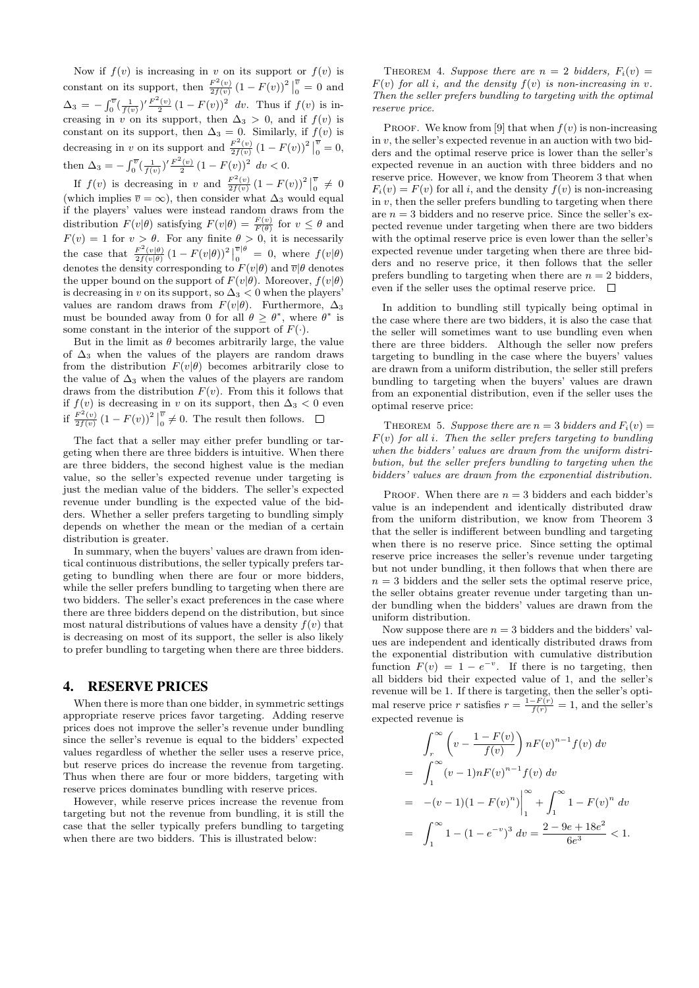Now if  $f(v)$  is increasing in v on its support or  $f(v)$  is constant on its support, then  $\frac{F^2(v)}{2f(v)}(1-F(v))^2\Big|_0^{\overline{v}}$  $\int_{0}^{v}$  = 0 and  $\Delta_3 = -\int_0^{\overline{v}} \left(\frac{1}{f(v)}\right)^{\prime} \frac{F^2(v)}{2} (1 - F(v))^2 dv$ . Thus if  $f(v)$  is increasing in v on its support, then  $\Delta_3 > 0$ , and if  $f(v)$  is constant on its support, then  $\Delta_3 = 0$ . Similarly, if  $f(v)$  is decreasing in v on its support and  $\frac{F^2(v)}{2f(v)}(1-F(v))^2\Big|_0^{\overline{v}}$  $\frac{0}{0}=0,$ then  $\Delta_3 = -\int_0^{\overline{v}} \left(\frac{1}{f(v)}\right)^{\prime} \frac{F^2(v)}{2} (1 - F(v))^2 dv < 0.$ 

If  $f(v)$  is decreasing in v and  $\frac{F^2(v)}{2f(v)}(1-F(v))^2\Big|_0^{\overline{v}}$  $\begin{array}{c} 0 \\ 0 \end{array} \neq 0$ (which implies  $\overline{v} = \infty$ ), then consider what  $\Delta_3$  would equal if the players' values were instead random draws from the distribution  $F(v|\theta)$  satisfying  $F(v|\theta) = \frac{F(v)}{F(\theta)}$  for  $v \le \theta$  and  $F(v) = 1$  for  $v > \theta$ . For any finite  $\theta > 0$ , it is necessarily the case that  $\frac{F^2(v|\theta)}{2f(v|\theta)}(1-F(v|\theta))^2\Big|_0^{\overline{v}|\theta}$  $\frac{v|\theta}{0} = 0$ , where  $f(v|\theta)$ denotes the density corresponding to  $F(v|\theta)$  and  $\overline{v}|\theta$  denotes the upper bound on the support of  $F(v|\theta)$ . Moreover,  $f(v|\theta)$ is decreasing in v on its support, so  $\Delta_3 < 0$  when the players' values are random draws from  $F(v|\theta)$ . Furthermore,  $\Delta_3$ must be bounded away from 0 for all  $\theta \geq \theta^*$ , where  $\theta^*$  is some constant in the interior of the support of  $F(.)$ .

But in the limit as  $\theta$  becomes arbitrarily large, the value of  $\Delta_3$  when the values of the players are random draws from the distribution  $F(v|\theta)$  becomes arbitrarily close to the value of  $\Delta_3$  when the values of the players are random draws from the distribution  $F(v)$ . From this it follows that if  $f(v)$  is decreasing in v on its support, then  $\Delta_3 < 0$  even if  $\frac{F^2(v)}{2f(v)}(1-F(v))^2\big|_0^{\overline{v}}$  $\begin{array}{c} \n\text{o} \\
0 \end{array}$   $\neq$  0. The result then follows.

The fact that a seller may either prefer bundling or targeting when there are three bidders is intuitive. When there are three bidders, the second highest value is the median value, so the seller's expected revenue under targeting is just the median value of the bidders. The seller's expected revenue under bundling is the expected value of the bidders. Whether a seller prefers targeting to bundling simply depends on whether the mean or the median of a certain distribution is greater.

In summary, when the buyers' values are drawn from identical continuous distributions, the seller typically prefers targeting to bundling when there are four or more bidders, while the seller prefers bundling to targeting when there are two bidders. The seller's exact preferences in the case where there are three bidders depend on the distribution, but since most natural distributions of values have a density  $f(v)$  that is decreasing on most of its support, the seller is also likely to prefer bundling to targeting when there are three bidders.

#### 4. RESERVE PRICES

When there is more than one bidder, in symmetric settings appropriate reserve prices favor targeting. Adding reserve prices does not improve the seller's revenue under bundling since the seller's revenue is equal to the bidders' expected values regardless of whether the seller uses a reserve price, but reserve prices do increase the revenue from targeting. Thus when there are four or more bidders, targeting with reserve prices dominates bundling with reserve prices.

However, while reserve prices increase the revenue from targeting but not the revenue from bundling, it is still the case that the seller typically prefers bundling to targeting when there are two bidders. This is illustrated below:

THEOREM 4. Suppose there are  $n = 2$  bidders,  $F_i(v) =$  $F(v)$  for all i, and the density  $f(v)$  is non-increasing in v. Then the seller prefers bundling to targeting with the optimal reserve price.

PROOF. We know from [9] that when  $f(v)$  is non-increasing in  $v$ , the seller's expected revenue in an auction with two bidders and the optimal reserve price is lower than the seller's expected revenue in an auction with three bidders and no reserve price. However, we know from Theorem 3 that when  $F_i(v) = F(v)$  for all i, and the density  $f(v)$  is non-increasing in  $v$ , then the seller prefers bundling to targeting when there are  $n = 3$  bidders and no reserve price. Since the seller's expected revenue under targeting when there are two bidders with the optimal reserve price is even lower than the seller's expected revenue under targeting when there are three bidders and no reserve price, it then follows that the seller prefers bundling to targeting when there are  $n = 2$  bidders, even if the seller uses the optimal reserve price.  $\Box$ 

In addition to bundling still typically being optimal in the case where there are two bidders, it is also the case that the seller will sometimes want to use bundling even when there are three bidders. Although the seller now prefers targeting to bundling in the case where the buyers' values are drawn from a uniform distribution, the seller still prefers bundling to targeting when the buyers' values are drawn from an exponential distribution, even if the seller uses the optimal reserve price:

THEOREM 5. Suppose there are  $n = 3$  bidders and  $F_i(v) =$  $F(v)$  for all i. Then the seller prefers targeting to bundling when the bidders' values are drawn from the uniform distribution, but the seller prefers bundling to targeting when the bidders' values are drawn from the exponential distribution.

PROOF. When there are  $n = 3$  bidders and each bidder's value is an independent and identically distributed draw from the uniform distribution, we know from Theorem 3 that the seller is indifferent between bundling and targeting when there is no reserve price. Since setting the optimal reserve price increases the seller's revenue under targeting but not under bundling, it then follows that when there are  $n = 3$  bidders and the seller sets the optimal reserve price, the seller obtains greater revenue under targeting than under bundling when the bidders' values are drawn from the uniform distribution.

Now suppose there are  $n = 3$  bidders and the bidders' values are independent and identically distributed draws from the exponential distribution with cumulative distribution function  $F(v) = 1 - e^{-v}$ . If there is no targeting, then all bidders bid their expected value of 1, and the seller's revenue will be 1. If there is targeting, then the seller's optimal reserve price r satisfies  $r = \frac{1 - F(r)}{f(r)} = 1$ , and the seller's expected revenue is

$$
\int_{r}^{\infty} \left( v - \frac{1 - F(v)}{f(v)} \right) n F(v)^{n-1} f(v) dv
$$
  
= 
$$
\int_{1}^{\infty} (v - 1) n F(v)^{n-1} f(v) dv
$$
  
= 
$$
-(v - 1)(1 - F(v)^{n}) \Big|_{1}^{\infty} + \int_{1}^{\infty} 1 - F(v)^{n} dv
$$
  
= 
$$
\int_{1}^{\infty} 1 - (1 - e^{-v})^{3} dv = \frac{2 - 9e + 18e^{2}}{6e^{3}} < 1.
$$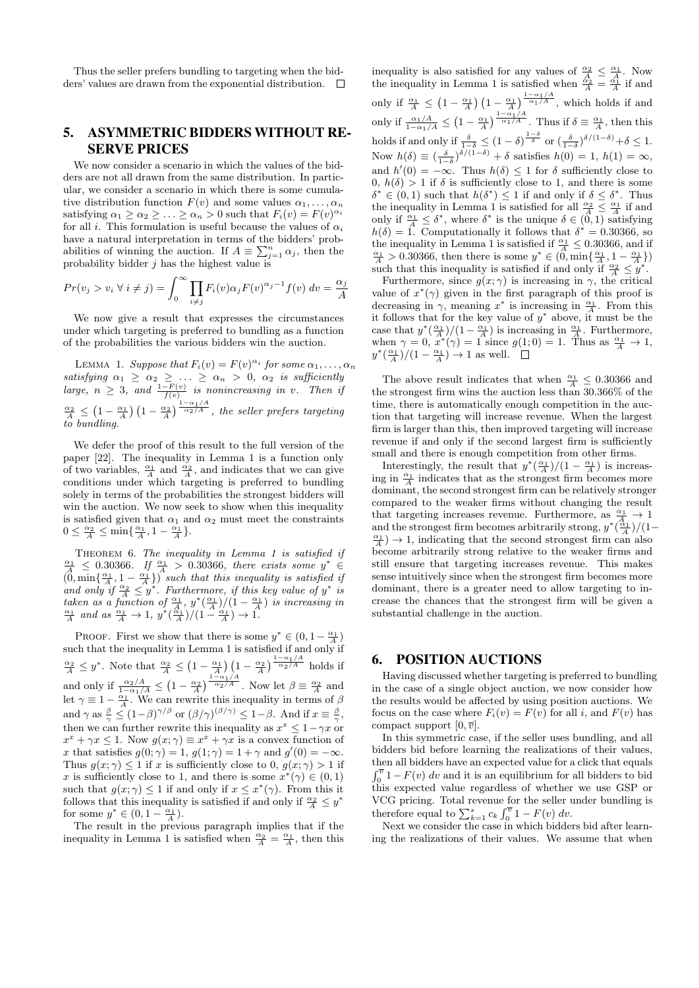Thus the seller prefers bundling to targeting when the bidders' values are drawn from the exponential distribution.  $\Box$ 

## 5. ASYMMETRIC BIDDERS WITHOUT RE-SERVE PRICES

We now consider a scenario in which the values of the bidders are not all drawn from the same distribution. In particular, we consider a scenario in which there is some cumulative distribution function  $F(v)$  and some values  $\alpha_1, \ldots, \alpha_n$ satisfying  $\alpha_1 \geq \alpha_2 \geq \ldots \geq \alpha_n > 0$  such that  $F_i(v) = F(v)^{\alpha_i}$ for all *i*. This formulation is useful because the values of  $\alpha_i$ have a natural interpretation in terms of the bidders' probabilities of winning the auction. If  $A \equiv \sum_{j=1}^n \alpha_j$ , then the probability bidder  $j$  has the highest value is

$$
Pr(v_j > v_i \ \forall \ i \neq j) = \int_0^\infty \prod_{i \neq j} F_i(v) \alpha_j F(v)^{\alpha_j - 1} f(v) \ dv = \frac{\alpha_j}{A}
$$

We now give a result that expresses the circumstances under which targeting is preferred to bundling as a function of the probabilities the various bidders win the auction.

LEMMA 1. Suppose that  $F_i(v) = F(v)^{\alpha_i}$  for some  $\alpha_1, \ldots, \alpha_n$ satisfying  $\alpha_1 \geq \alpha_2 \geq \ldots \geq \alpha_n > 0$ ,  $\alpha_2$  is sufficiently large,  $n \geq 3$ , and  $\frac{1-F(v)}{f(v)}$  is nonincreasing in v. Then if  $\frac{\alpha_2}{A} \leq (1 - \frac{\alpha_1}{A}) (1 - \frac{\alpha_2}{A})^{\frac{1-\alpha_1/A}{\alpha_2/A}},$  the seller prefers targeting to bundling.

We defer the proof of this result to the full version of the paper [22]. The inequality in Lemma 1 is a function only of two variables,  $\frac{\alpha_1}{A}$  and  $\frac{\alpha_2}{A}$ , and indicates that we can give conditions under which targeting is preferred to bundling solely in terms of the probabilities the strongest bidders will win the auction. We now seek to show when this inequality is satisfied given that  $\alpha_1$  and  $\alpha_2$  must meet the constraints  $0 \leq \frac{\alpha_2}{A} \leq \min\{\frac{\alpha_1}{A}, 1 - \frac{\alpha_1}{A}\}.$ 

THEOREM 6. The inequality in Lemma 1 is satisfied if  $\frac{\alpha_1}{A} \leq 0.30366$ . If  $\frac{\alpha_1}{A} > 0.30366$ , there exists some  $y^* \in$  $(0, \min\{\frac{\alpha_1}{A}, 1-\frac{\alpha_1}{A}\})$  such that this inequality is satisfied if and only if  $\frac{\alpha_2}{A} \leq y^*$ . Furthermore, if this key value of  $y^*$  is taken as a function of  $\frac{\alpha_1}{A}$ ,  $y^*(\frac{\alpha_1}{A})/(1-\frac{\alpha_1}{A})$  is increasing in  $\frac{\alpha_1}{A}$  and as  $\frac{\alpha_1}{A} \to 1$ ,  $y^*(\frac{\alpha_1}{A})/(1-\frac{\alpha_1}{A}) \to 1$ .

PROOF. First we show that there is some  $y^* \in (0, 1 - \frac{\alpha_1}{4})$ FROOT. This we show that there is some  $y \in (0,1)$  A is  $\frac{\alpha_2}{A} \leq y^*$ . Note that  $\frac{\alpha_2}{A} \leq \left(1 - \frac{\alpha_1}{A}\right) \left(1 - \frac{\alpha_2}{A}\right)^{\frac{1 - \alpha_1/A}{\alpha_2/A}}$  holds if and only if  $\frac{\alpha_2/A}{1-\alpha_1/A} \leq \left(1-\frac{\alpha_2}{A}\right)^{\frac{1-\alpha_1/A}{\alpha_2/A}}$ . Now let  $\beta \equiv \frac{\alpha_2}{A}$  and let  $\gamma \equiv 1 - \frac{\alpha_1}{A}$ . We can rewrite this inequality in terms of  $\beta$ and  $\gamma$  as  $\frac{\beta}{\gamma} \le (1-\beta)^{\gamma/\beta}$  or  $(\beta/\gamma)^{(\beta/\gamma)} \le 1-\beta$ . And if  $x \equiv \frac{\beta}{\gamma}$ , then we can further rewrite this inequality as  $x^x \leq 1 - \gamma x$  or  $x^x + \gamma x \leq 1$ . Now  $g(x; \gamma) \equiv x^x + \gamma x$  is a convex function of x that satisfies  $g(0; \gamma) = 1$ ,  $g(1; \gamma) = 1 + \gamma$  and  $g'(0) = -\infty$ . Thus  $g(x; \gamma) \leq 1$  if x is sufficiently close to 0,  $g(x; \gamma) > 1$  if x is sufficiently close to 1, and there is some  $x^*(\gamma) \in (0,1)$ such that  $g(x; \gamma) \leq 1$  if and only if  $x \leq x^*(\gamma)$ . From this it follows that this inequality is satisfied if and only if  $\frac{\alpha_2}{A} \leq y^*$ for some  $y^* \in (0, 1 - \frac{\alpha_1}{A}).$ 

The result in the previous paragraph implies that if the inequality in Lemma 1 is satisfied when  $\frac{\alpha_2}{A} = \frac{\alpha_1}{A}$ , then this

inequality is also satisfied for any values of  $\frac{\alpha_2}{A} \leq \frac{\alpha_1}{A}$ . Now the inequality in Lemma 1 is satisfied when  $\frac{\dot{\alpha}_2}{A} = \frac{\dot{\alpha}_1}{A}$  if and only if  $\frac{\alpha_1}{A} \leq \left(1 - \frac{\alpha_1}{A}\right) \left(1 - \frac{\alpha_1}{A}\right)^{\frac{1-\alpha_1/A}{\alpha_1/A}},$  which holds if and only if  $\frac{\alpha_1/A}{1-\alpha_1/A} \leq \left(1-\frac{\alpha_1}{A}\right)^{\frac{1-\alpha_1/A}{\alpha_1/A}}$ . Thus if  $\delta \equiv \frac{\alpha_1}{A}$ , then this holds if and only if  $\frac{\delta}{1-\delta} \leq (1-\delta)^{\frac{1-\delta}{\delta}}$  or  $(\frac{\delta}{1-\delta})^{\delta/(1-\delta)} + \delta \leq 1$ . Now  $h(\delta) \equiv \left(\frac{\delta}{1-\delta}\right)^{\delta/(1-\delta)} + \delta$  satisfies  $h(0) = 1, h(1) = \infty$ , and  $h'(0) = -\infty$ . Thus  $h(\delta) \leq 1$  for  $\delta$  sufficiently close to 0,  $h(\delta) > 1$  if  $\delta$  is sufficiently close to 1, and there is some  $\delta^* \in (0,1)$  such that  $h(\delta^*) \leq 1$  if and only if  $\delta \leq \delta^*$ . Thus the inequality in Lemma 1 is satisfied for all  $\frac{\alpha_2}{A} \leq \frac{\alpha_1}{A}$  if and only if  $\frac{\alpha_1}{A} \leq \delta^*$ , where  $\delta^*$  is the unique  $\delta \in (0, 1)$  satisfying  $h(\delta) = 1$ . Computationally it follows that  $\delta^* = 0.30366$ , so the inequality in Lemma 1 is satisfied if  $\frac{\alpha_1}{A} \leq 0.30366$ , and if  $\frac{\alpha_1}{A} > 0.30366$ , then there is some  $y^* \in (\overline{0}, \min\{\frac{\alpha_1}{A}, 1 - \frac{\alpha_1}{A}\})$ such that this inequality is satisfied if and only if  $\frac{\alpha_2}{A} \leq y^*$ .

Furthermore, since  $g(x; \gamma)$  is increasing in  $\gamma$ , the critical value of  $x^*(\gamma)$  given in the first paragraph of this proof is decreasing in  $\gamma$ , meaning  $x^*$  is increasing in  $\frac{\alpha_1}{A}$ . From this it follows that for the key value of  $y^*$  above, it must be the case that  $y^*(\frac{\alpha_1}{A})/(1-\frac{\alpha_1}{A})$  is increasing in  $\frac{\alpha_1}{A}$ . Furthermore, when  $\gamma = 0$ ,  $x^*(\gamma) = 1$  since  $g(1,0) = 1$ . Thus as  $\frac{\alpha_1}{A} \to 1$ ,  $y^*(\frac{\alpha_1}{A})/(1-\frac{\alpha_1}{A}) \to 1$  as well.

The above result indicates that when  $\frac{\alpha_1}{A} \leq 0.30366$  and the strongest firm wins the auction less than 30.366% of the time, there is automatically enough competition in the auction that targeting will increase revenue. When the largest firm is larger than this, then improved targeting will increase revenue if and only if the second largest firm is sufficiently small and there is enough competition from other firms.

Interestingly, the result that  $y^* \left(\frac{\alpha_1}{A}\right) / (1 - \frac{\alpha_1}{A})$  is increasing in  $\frac{\alpha_1}{A}$  indicates that as the strongest firm becomes more dominant, the second strongest firm can be relatively stronger compared to the weaker firms without changing the result that targeting increases revenue. Furthermore, as  $\frac{\alpha_1}{A} \rightarrow 1$ and the strongest firm becomes arbitrarily strong,  $y^*(\frac{\alpha_1}{A})/(1-\alpha)$  $\frac{\alpha_1}{A}$   $\rightarrow$  1, indicating that the second strongest firm can also become arbitrarily strong relative to the weaker firms and still ensure that targeting increases revenue. This makes sense intuitively since when the strongest firm becomes more dominant, there is a greater need to allow targeting to increase the chances that the strongest firm will be given a substantial challenge in the auction.

## 6. POSITION AUCTIONS

Having discussed whether targeting is preferred to bundling in the case of a single object auction, we now consider how the results would be affected by using position auctions. We focus on the case where  $F_i(v) = F(v)$  for all i, and  $F(v)$  has compact support  $[0, \overline{v}]$ .

In this symmetric case, if the seller uses bundling, and all bidders bid before learning the realizations of their values, then all bidders have an expected value for a click that equals  $\int_0^{\overline{v}} 1 - F(v) dv$  and it is an equilibrium for all bidders to bid this expected value regardless of whether we use GSP or VCG pricing. Total revenue for the seller under bundling is therefore equal to  $\sum_{k=1}^{s} c_k \int_0^{\overline{v}} 1 - F(v) dv$ .

Next we consider the case in which bidders bid after learning the realizations of their values. We assume that when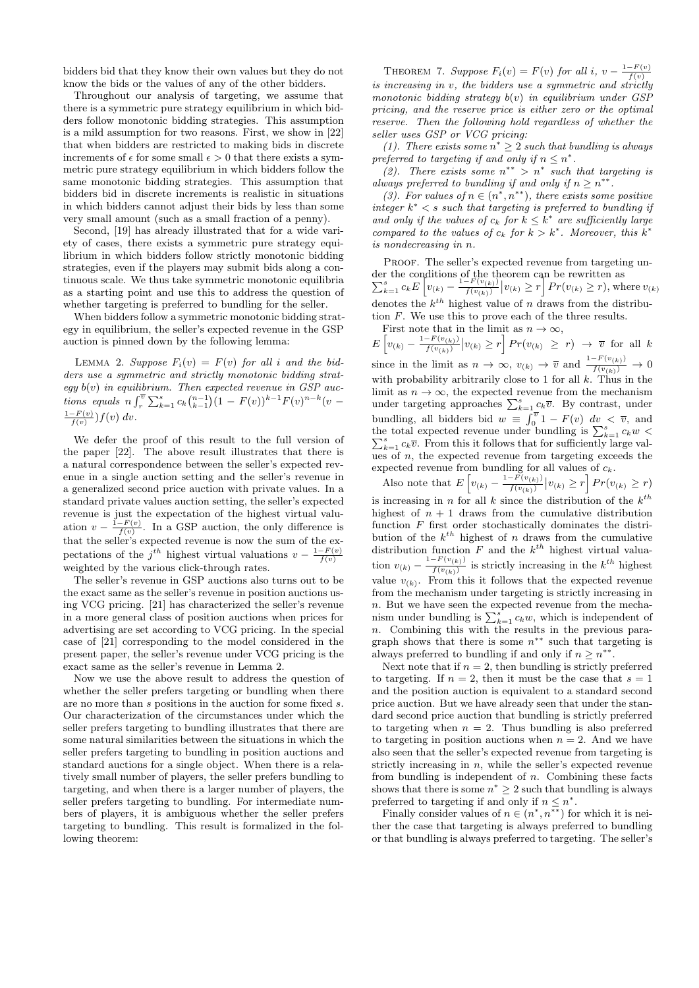bidders bid that they know their own values but they do not know the bids or the values of any of the other bidders.

Throughout our analysis of targeting, we assume that there is a symmetric pure strategy equilibrium in which bidders follow monotonic bidding strategies. This assumption is a mild assumption for two reasons. First, we show in [22] that when bidders are restricted to making bids in discrete increments of  $\epsilon$  for some small  $\epsilon > 0$  that there exists a symmetric pure strategy equilibrium in which bidders follow the same monotonic bidding strategies. This assumption that bidders bid in discrete increments is realistic in situations in which bidders cannot adjust their bids by less than some very small amount (such as a small fraction of a penny).

Second, [19] has already illustrated that for a wide variety of cases, there exists a symmetric pure strategy equilibrium in which bidders follow strictly monotonic bidding strategies, even if the players may submit bids along a continuous scale. We thus take symmetric monotonic equilibria as a starting point and use this to address the question of whether targeting is preferred to bundling for the seller.

When bidders follow a symmetric monotonic bidding strategy in equilibrium, the seller's expected revenue in the GSP auction is pinned down by the following lemma:

LEMMA 2. Suppose  $F_i(v) = F(v)$  for all i and the bidders use a symmetric and strictly monotonic bidding strategy  $b(v)$  in equilibrium. Then expected revenue in GSP auctions equals  $n \int_r^{\overline{v}} \sum_{k=1}^s c_k {n-1 \choose k-1} (1 - F(v))^{k-1} F(v)^{n-k} (v \frac{1-F(v)}{f(v)}$ ) $f(v)$  dv.

We defer the proof of this result to the full version of the paper [22]. The above result illustrates that there is a natural correspondence between the seller's expected revenue in a single auction setting and the seller's revenue in a generalized second price auction with private values. In a standard private values auction setting, the seller's expected revenue is just the expectation of the highest virtual valuation  $v - \frac{1 - F(v)}{f(v)}$ . In a GSP auction, the only difference is that the seller's expected revenue is now the sum of the expectations of the  $j^{th}$  highest virtual valuations  $v - \frac{1-F(v)}{f(v)}$ weighted by the various click-through rates.

The seller's revenue in GSP auctions also turns out to be the exact same as the seller's revenue in position auctions using VCG pricing. [21] has characterized the seller's revenue in a more general class of position auctions when prices for advertising are set according to VCG pricing. In the special case of [21] corresponding to the model considered in the present paper, the seller's revenue under VCG pricing is the exact same as the seller's revenue in Lemma 2.

Now we use the above result to address the question of whether the seller prefers targeting or bundling when there are no more than s positions in the auction for some fixed s. Our characterization of the circumstances under which the seller prefers targeting to bundling illustrates that there are some natural similarities between the situations in which the seller prefers targeting to bundling in position auctions and standard auctions for a single object. When there is a relatively small number of players, the seller prefers bundling to targeting, and when there is a larger number of players, the seller prefers targeting to bundling. For intermediate numbers of players, it is ambiguous whether the seller prefers targeting to bundling. This result is formalized in the following theorem:

THEOREM 7. Suppose  $F_i(v) = F(v)$  for all i,  $v - \frac{1-F(v)}{f(v)}$ is increasing in v, the bidders use a symmetric and strictly monotonic bidding strategy  $b(v)$  in equilibrium under GSP pricing, and the reserve price is either zero or the optimal reserve. Then the following hold regardless of whether the seller uses GSP or VCG pricing:

(1). There exists some  $n^* \geq 2$  such that bundling is always preferred to targeting if and only if  $n \leq n^*$ .

(2). There exists some  $n^{**} > n^*$  such that targeting is always preferred to bundling if and only if  $n \geq n^{**}$ .

(3). For values of  $n \in (n^*, n^{**})$ , there exists some positive integer  $k^* < s$  such that targeting is preferred to bundling if and only if the values of  $c_k$  for  $k \leq k^*$  are sufficiently large compared to the values of  $c_k$  for  $k > k^*$ . Moreover, this  $k^*$ is nondecreasing in n.

PROOF. The seller's expected revenue from targeting under the conditions of the theorem can be rewritten as  $\sum_{k=1}^{s} c_k E\left[v_{(k)} - \frac{1-F(v_{(k)})}{f(v_{(k)})}\right]$  $\frac{-F(v_{(k)})}{f(v_{(k)})}|v_{(k)} \geq r$   $Pr(v_{(k)} \geq r)$ , where  $v_{(k)}$ denotes the  $k^{th}$  highest value of n draws from the distribution  $F$ . We use this to prove each of the three results. First note that in the limit as  $n \to \infty$ ,

 $E\left[v_{(k)} - \frac{1-F(v_{(k)})}{f(v_{(k)})}\right]$  $\frac{f^{-F(v_{(k)})}}{f(v_{(k)})}|v_{(k)} \geq r$   $\Big\}$   $Pr(v_{(k)} \geq r) \rightarrow \overline{v}$  for all k since in the limit as  $n \to \infty$ ,  $v_{(k)} \to \overline{v}$  and  $\frac{1-F(v_{(k)})}{f(v_{(k)})}$  $\frac{f(v(k))}{f(v(k))} \to 0$ with probability arbitrarily close to 1 for all  $k$ . Thus in the limit as  $n \to \infty$ , the expected revenue from the mechanism under targeting approaches  $\sum_{k=1}^{s} c_k \overline{v}$ . By contrast, under bundling, all bidders bid  $w \equiv \int_0^{\overline{v}} 1 - F(v) dv < \overline{v}$ , and the total expected revenue under bundling is  $\sum_{k=1}^{s} c_k w < \sum_{k=1}^{s} c_k \overline{w}$ . From this it follows that for sufficiently large val $s_{k=1}^s c_k\overline{v}$ . From this it follows that for sufficiently large values of  $n$ , the expected revenue from targeting exceeds the expected revenue from bundling for all values of  $c_k$ .

Also note that  $E\left[v_{(k)} - \frac{1-F(v_{(k)})}{f(v_{(k)})}\right]$  $\frac{-F(v_{(k)})}{f(v_{(k)})}|v_{(k)} \geq r$   $Pr(v_{(k)} \geq r)$ is increasing in n for all k since the distribution of the  $k^{th}$ highest of  $n + 1$  draws from the cumulative distribution function  $F$  first order stochastically dominates the distribution of the  $k^{th}$  highest of n draws from the cumulative distribution function  $F$  and the  $k^{th}$  highest virtual valuation  $v_{(k)} - \frac{1-F(v_{(k)})}{f(v_{(k)})}$  $\frac{f^{(v)}(k)}{f^{(v)}(k)}$  is strictly increasing in the  $k^{th}$  highest value  $v_{(k)}$ . From this it follows that the expected revenue from the mechanism under targeting is strictly increasing in n. But we have seen the expected revenue from the mechanism under bundling is  $\sum_{k=1}^{s} c_k w$ , which is independent of n. Combining this with the results in the previous paragraph shows that there is some  $n^{**}$  such that targeting is always preferred to bundling if and only if  $n \geq n^{**}$ .

Next note that if  $n = 2$ , then bundling is strictly preferred to targeting. If  $n = 2$ , then it must be the case that  $s = 1$ and the position auction is equivalent to a standard second price auction. But we have already seen that under the standard second price auction that bundling is strictly preferred to targeting when  $n = 2$ . Thus bundling is also preferred to targeting in position auctions when  $n = 2$ . And we have also seen that the seller's expected revenue from targeting is strictly increasing in  $n$ , while the seller's expected revenue from bundling is independent of  $n$ . Combining these facts shows that there is some  $n^* \geq 2$  such that bundling is always preferred to targeting if and only if  $n \leq n^*$ .

Finally consider values of  $n \in (n^*, n^{**})$  for which it is neither the case that targeting is always preferred to bundling or that bundling is always preferred to targeting. The seller's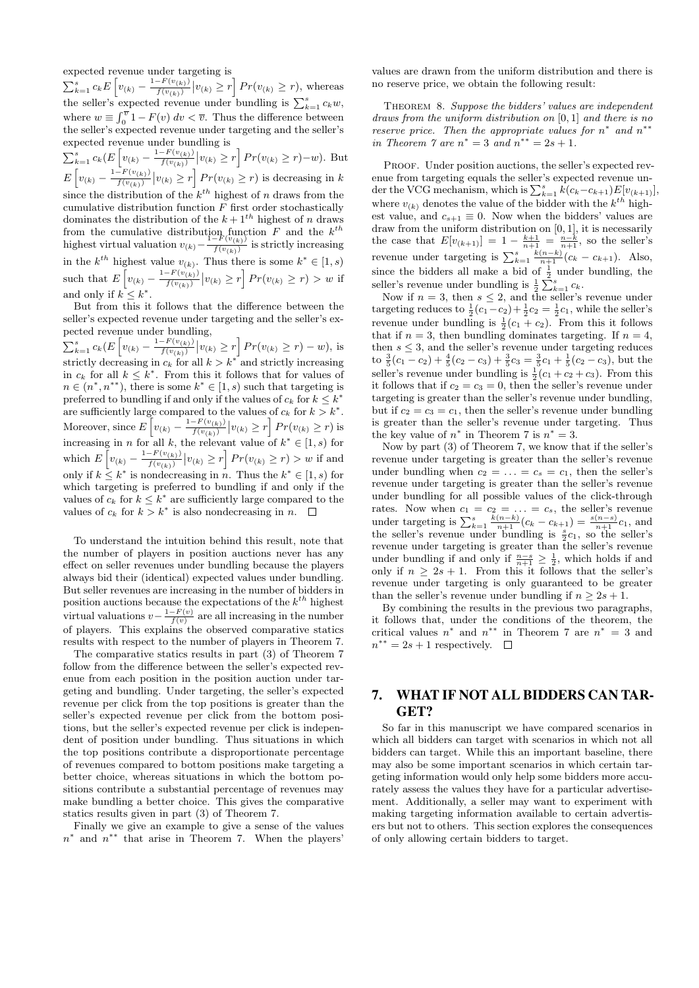expected revenue under targeting is

 $\sum_{k=1}^{s} c_k E\left[v_{(k)} - \frac{1-F(v_{(k)})}{f(v_{(k)})}\right]$  $\frac{f^{-F(v_{(k)})}}{f(v_{(k)})}|v_{(k)} \geq r$   $Pr(v_{(k)} \geq r)$ , whereas the seller's expected revenue under bundling is  $\sum_{k=1}^{s} c_k w$ , where  $w \equiv \int_0^{\overline{v}} 1 - F(v) dv < \overline{v}$ . Thus the difference between the seller's expected revenue under targeting and the seller's expected revenue under bundling is

 $\sum_{k=1}^{s} c_k (E \left[ v_{(k)} - \frac{1-F(v_{(k)})}{f(v_{(k)})} \right]$  $\frac{F^{-F(v_{(k)})}}{F(v_{(k)})}|v_{(k)} \geq r$   $Pr(v_{(k)} \geq r) - w$ ). But  $E\left[v_{(k)} - \frac{1-F(v_{(k)})}{f(v_{(k)})}\right]$  $\frac{f^{-F(v_{(k)})}}{f(v_{(k)})}|v_{(k)} \geq r$   $\Big\}$   $Pr(v_{(k)} \geq r)$  is decreasing in k since the distribution of the  $k^{th}$  highest of n draws from the cumulative distribution function  $F$  first order stochastically dominates the distribution of the  $k+1$ <sup>th</sup> highest of n draws from the cumulative distribution function  $F$  and the  $k^{th}$ highest virtual valuation  $v_{(k)} - \frac{1 - F(v_{(k)})}{f(v_{(k)})}$  $\frac{f(v(k))}{f(v_{(k)})}$  is strictly increasing in the  $k^{th}$  highest value  $v_{(k)}$ . Thus there is some  $k^* \in [1, s)$ such that  $E\left[v_{(k)} - \frac{1-F(v_{(k)})}{f(v_{(k)})}\right]$  $\frac{F^{-F(v_{(k)})}}{f(v_{(k)})}|v_{(k)} \geq r$   $Pr(v_{(k)} \geq r) > w$  if and only if  $k \leq k^*$ .

But from this it follows that the difference between the seller's expected revenue under targeting and the seller's expected revenue under bundling,

 $\sum_{k=1}^{s} c_k (E \left[ v_{(k)} - \frac{1-F(v_{(k)})}{f(v_{(k)})} \right]$  $\frac{F^{-F(v_{(k)})}}{f(v_{(k)})}|v_{(k)} \geq r$   $Pr(v_{(k)} \geq r) - w$ ), is strictly decreasing in  $c_k$  for all  $k > k^*$  and strictly increasing in  $c_k$  for all  $k \leq k^*$ . From this it follows that for values of  $n \in (n^*, n^{**})$ , there is some  $k^* \in [1, s)$  such that targeting is preferred to bundling if and only if the values of  $c_k$  for  $k \leq k^*$ are sufficiently large compared to the values of  $c_k$  for  $k > k^*$ . Moreover, since  $E\left[v_{(k)} - \frac{1-F(v_{(k)})}{f(v_{(k)})}\right]$  $\frac{-F(v_{(k)})}{f(v_{(k)})}|v_{(k)} \ge r$   $Pr(v_{(k)} \ge r)$  is increasing in *n* for all *k*, the relevant value of  $k^* \in [1, s)$  for which  $E\left[v_{(k)} - \frac{1-F(v_{(k)})}{f(v_{(k)})}\right]$  $\frac{f^{-F(v_{(k)})}}{f(v_{(k)})}|v_{(k)} \geq r$   $Pr(v_{(k)} \geq r) > w$  if and only if  $k \leq k^*$  is nondecreasing in n. Thus the  $k^* \in [1, s)$  for ∗ which targeting is preferred to bundling if and only if the values of  $c_k$  for  $k \leq k^*$  are sufficiently large compared to the values of  $c_k$  for  $k > k^*$  is also nondecreasing in n.

To understand the intuition behind this result, note that the number of players in position auctions never has any effect on seller revenues under bundling because the players always bid their (identical) expected values under bundling. But seller revenues are increasing in the number of bidders in position auctions because the expectations of the  $k^{th}$  highest virtual valuations  $v - \frac{1 - F(v)}{f(v)}$  are all increasing in the number of players. This explains the observed comparative statics results with respect to the number of players in Theorem 7.

The comparative statics results in part (3) of Theorem 7 follow from the difference between the seller's expected revenue from each position in the position auction under targeting and bundling. Under targeting, the seller's expected revenue per click from the top positions is greater than the seller's expected revenue per click from the bottom positions, but the seller's expected revenue per click is independent of position under bundling. Thus situations in which the top positions contribute a disproportionate percentage of revenues compared to bottom positions make targeting a better choice, whereas situations in which the bottom positions contribute a substantial percentage of revenues may make bundling a better choice. This gives the comparative statics results given in part (3) of Theorem 7.

Finally we give an example to give a sense of the values  $n^*$  and  $n^{**}$  that arise in Theorem 7. When the players'

values are drawn from the uniform distribution and there is no reserve price, we obtain the following result:

THEOREM 8. Suppose the bidders' values are independent draws from the uniform distribution on [0, 1] and there is no reserve price. Then the appropriate values for  $n^*$  and  $n^{**}$ in Theorem 7 are  $n^* = 3$  and  $n^{**} = 2s + 1$ .

PROOF. Under position auctions, the seller's expected revenue from targeting equals the seller's expected revenue under the VCG mechanism, which is  $\sum_{k=1}^{s} k(c_k-c_{k+1})E[v_{(k+1)}],$ where  $v_{(k)}$  denotes the value of the bidder with the  $k^{th}$  highest value, and  $c_{s+1} \equiv 0$ . Now when the bidders' values are draw from the uniform distribution on [0, 1], it is necessarily the case that  $E[v_{(k+1)}] = 1 - \frac{k+1}{n+1} = \frac{n-k}{n+1}$ , so the seller's revenue under targeting is  $\sum_{k=1}^{s} \frac{k(n-k)}{n+1} (c_k - c_{k+1})$ . Also, since the bidders all make a bid of  $\frac{1}{2}$  under bundling, the seller's revenue under bundling is  $\frac{1}{2} \sum_{k=1}^{s} c_k$ .

Now if  $n = 3$ , then  $s \leq 2$ , and the seller's revenue under targeting reduces to  $\frac{1}{2}(c_1-c_2)+\frac{1}{2}c_2=\frac{1}{2}c_1$ , while the seller's revenue under bundling is  $\frac{1}{2}(c_1 + c_2)$ . From this it follows that if  $n = 3$ , then bundling dominates targeting. If  $n = 4$ , then  $s \leq 3$ , and the seller's revenue under targeting reduces to  $\frac{3}{5}(c_1-c_2)+\frac{4}{5}(c_2-c_3)+\frac{3}{5}c_3=\frac{3}{5}c_1+\frac{1}{5}(c_2-c_3)$ , but the seller's revenue under bundling is  $\frac{1}{2}(c_1 + c_2 + c_3)$ . From this it follows that if  $c_2 = c_3 = 0$ , then the seller's revenue under targeting is greater than the seller's revenue under bundling, but if  $c_2 = c_3 = c_1$ , then the seller's revenue under bundling is greater than the seller's revenue under targeting. Thus the key value of  $n^*$  in Theorem 7 is  $n^* = 3$ .

Now by part (3) of Theorem 7, we know that if the seller's revenue under targeting is greater than the seller's revenue under bundling when  $c_2 = \ldots = c_s = c_1$ , then the seller's revenue under targeting is greater than the seller's revenue under bundling for all possible values of the click-through rates. Now when  $c_1 = c_2 = \ldots = c_s$ , the seller's revenue under targeting is  $\sum_{k=1}^{s} \frac{k(n-k)}{n+1} (c_k - c_{k+1}) = \frac{s(n-s)}{n+1} c_1$ , and the seller's revenue under bundling is  $\frac{s}{2}c_1$ , so the seller's revenue under targeting is greater than the seller's revenue under bundling if and only if  $\frac{n-s}{n+1} \geq \frac{1}{2}$ , which holds if and only if  $n \geq 2s + 1$ . From this it follows that the seller's revenue under targeting is only guaranteed to be greater than the seller's revenue under bundling if  $n \geq 2s + 1$ .

By combining the results in the previous two paragraphs, it follows that, under the conditions of the theorem, the critical values  $n^*$  and  $n^{**}$  in Theorem 7 are  $n^* = 3$  and  $n^{**} = 2s + 1$  respectively.

## 7. WHAT IF NOT ALL BIDDERS CAN TAR-GET?

So far in this manuscript we have compared scenarios in which all bidders can target with scenarios in which not all bidders can target. While this an important baseline, there may also be some important scenarios in which certain targeting information would only help some bidders more accurately assess the values they have for a particular advertisement. Additionally, a seller may want to experiment with making targeting information available to certain advertisers but not to others. This section explores the consequences of only allowing certain bidders to target.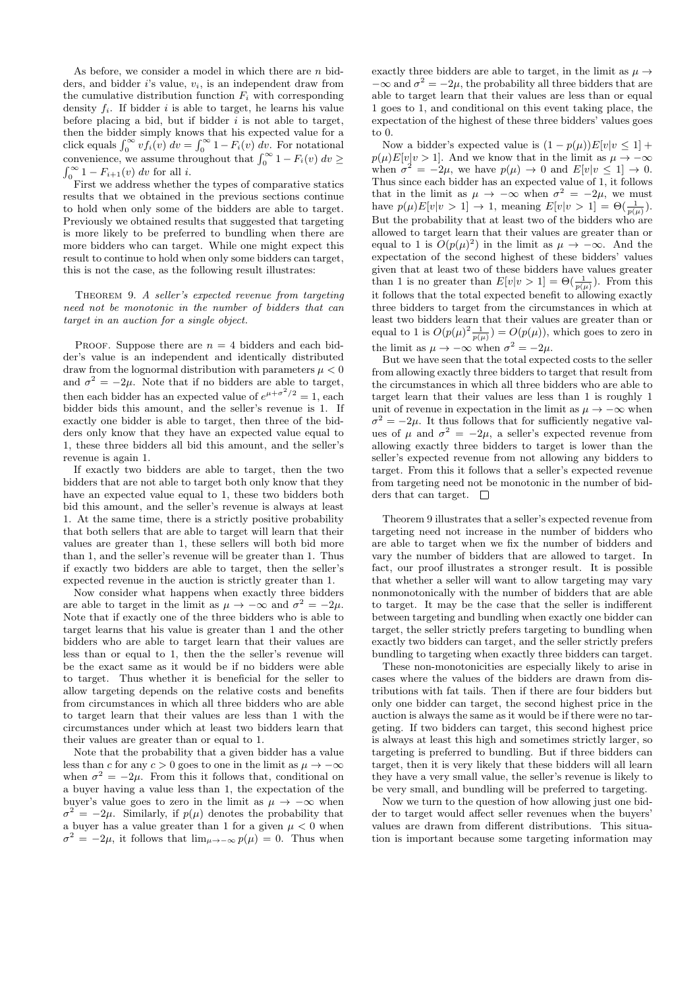As before, we consider a model in which there are  $n$  bidders, and bidder  $i$ 's value,  $v_i$ , is an independent draw from the cumulative distribution function  $F_i$  with corresponding density  $f_i$ . If bidder i is able to target, he learns his value before placing a bid, but if bidder  $i$  is not able to target, then the bidder simply knows that his expected value for a click equals  $\int_0^\infty v f_i(v) dv = \int_0^\infty 1 - F_i(v) dv$ . For notational convenience, we assume throughout that  $\int_0^\infty 1 - F_i(v) dv \geq$  $\int_0^\infty 1 - F_{i+1}(v) dv$  for all *i*.

First we address whether the types of comparative statics results that we obtained in the previous sections continue to hold when only some of the bidders are able to target. Previously we obtained results that suggested that targeting is more likely to be preferred to bundling when there are more bidders who can target. While one might expect this result to continue to hold when only some bidders can target, this is not the case, as the following result illustrates:

THEOREM 9. A seller's expected revenue from targeting need not be monotonic in the number of bidders that can target in an auction for a single object.

PROOF. Suppose there are  $n = 4$  bidders and each bidder's value is an independent and identically distributed draw from the lognormal distribution with parameters  $\mu < 0$ and  $\sigma^2 = -2\mu$ . Note that if no bidders are able to target, then each bidder has an expected value of  $e^{\mu+\sigma^2/2} = 1$ , each bidder bids this amount, and the seller's revenue is 1. If exactly one bidder is able to target, then three of the bidders only know that they have an expected value equal to 1, these three bidders all bid this amount, and the seller's revenue is again 1.

If exactly two bidders are able to target, then the two bidders that are not able to target both only know that they have an expected value equal to 1, these two bidders both bid this amount, and the seller's revenue is always at least 1. At the same time, there is a strictly positive probability that both sellers that are able to target will learn that their values are greater than 1, these sellers will both bid more than 1, and the seller's revenue will be greater than 1. Thus if exactly two bidders are able to target, then the seller's expected revenue in the auction is strictly greater than 1.

Now consider what happens when exactly three bidders are able to target in the limit as  $\mu \to -\infty$  and  $\sigma^2 = -2\mu$ . Note that if exactly one of the three bidders who is able to target learns that his value is greater than 1 and the other bidders who are able to target learn that their values are less than or equal to 1, then the the seller's revenue will be the exact same as it would be if no bidders were able to target. Thus whether it is beneficial for the seller to allow targeting depends on the relative costs and benefits from circumstances in which all three bidders who are able to target learn that their values are less than 1 with the circumstances under which at least two bidders learn that their values are greater than or equal to 1.

Note that the probability that a given bidder has a value less than c for any  $c > 0$  goes to one in the limit as  $\mu \to -\infty$ when  $\sigma^2 = -2\mu$ . From this it follows that, conditional on a buyer having a value less than 1, the expectation of the buyer's value goes to zero in the limit as  $\mu \to -\infty$  when  $\sigma^2 = -2\mu$ . Similarly, if  $p(\mu)$  denotes the probability that a buyer has a value greater than 1 for a given  $\mu < 0$  when  $\sigma^2 = -2\mu$ , it follows that  $\lim_{\mu \to -\infty} p(\mu) = 0$ . Thus when

exactly three bidders are able to target, in the limit as  $\mu \rightarrow$  $-\infty$  and  $\sigma^2 = -2\mu$ , the probability all three bidders that are able to target learn that their values are less than or equal 1 goes to 1, and conditional on this event taking place, the expectation of the highest of these three bidders' values goes to  $0$ .

Now a bidder's expected value is  $(1 - p(\mu))E[v|v \le 1]$  +  $p(\mu)E[v|v > 1]$ . And we know that in the limit as  $\mu \to -\infty$ when  $\sigma^2 = -2\mu$ , we have  $p(\mu) \to 0$  and  $E[v|v \leq 1] \to 0$ . Thus since each bidder has an expected value of 1, it follows that in the limit as  $\mu \to -\infty$  when  $\sigma^2 = -2\mu$ , we must have  $p(\mu)E[v|v > 1] \rightarrow 1$ , meaning  $E[v|v > 1] = \Theta(\frac{1}{p(\mu)})$ . But the probability that at least two of the bidders who are allowed to target learn that their values are greater than or equal to 1 is  $O(p(\mu)^2)$  in the limit as  $\mu \to -\infty$ . And the expectation of the second highest of these bidders' values given that at least two of these bidders have values greater than 1 is no greater than  $E[v|v > 1] = \Theta(\frac{1}{p(\mu)})$ . From this it follows that the total expected benefit to allowing exactly three bidders to target from the circumstances in which at least two bidders learn that their values are greater than or equal to 1 is  $O(p(\mu)^2 \frac{1}{p(\mu)}) = O(p(\mu))$ , which goes to zero in the limit as  $\mu \to -\infty$  when  $\sigma^2 = -2\mu$ .

But we have seen that the total expected costs to the seller from allowing exactly three bidders to target that result from the circumstances in which all three bidders who are able to target learn that their values are less than 1 is roughly 1 unit of revenue in expectation in the limit as  $\mu \to -\infty$  when  $\sigma^2 = -2\mu$ . It thus follows that for sufficiently negative values of  $\mu$  and  $\sigma^2 = -2\mu$ , a seller's expected revenue from allowing exactly three bidders to target is lower than the seller's expected revenue from not allowing any bidders to target. From this it follows that a seller's expected revenue from targeting need not be monotonic in the number of bidders that can target.  $\square$ 

Theorem 9 illustrates that a seller's expected revenue from targeting need not increase in the number of bidders who are able to target when we fix the number of bidders and vary the number of bidders that are allowed to target. In fact, our proof illustrates a stronger result. It is possible that whether a seller will want to allow targeting may vary nonmonotonically with the number of bidders that are able to target. It may be the case that the seller is indifferent between targeting and bundling when exactly one bidder can target, the seller strictly prefers targeting to bundling when exactly two bidders can target, and the seller strictly prefers bundling to targeting when exactly three bidders can target.

These non-monotonicities are especially likely to arise in cases where the values of the bidders are drawn from distributions with fat tails. Then if there are four bidders but only one bidder can target, the second highest price in the auction is always the same as it would be if there were no targeting. If two bidders can target, this second highest price is always at least this high and sometimes strictly larger, so targeting is preferred to bundling. But if three bidders can target, then it is very likely that these bidders will all learn they have a very small value, the seller's revenue is likely to be very small, and bundling will be preferred to targeting.

Now we turn to the question of how allowing just one bidder to target would affect seller revenues when the buyers' values are drawn from different distributions. This situation is important because some targeting information may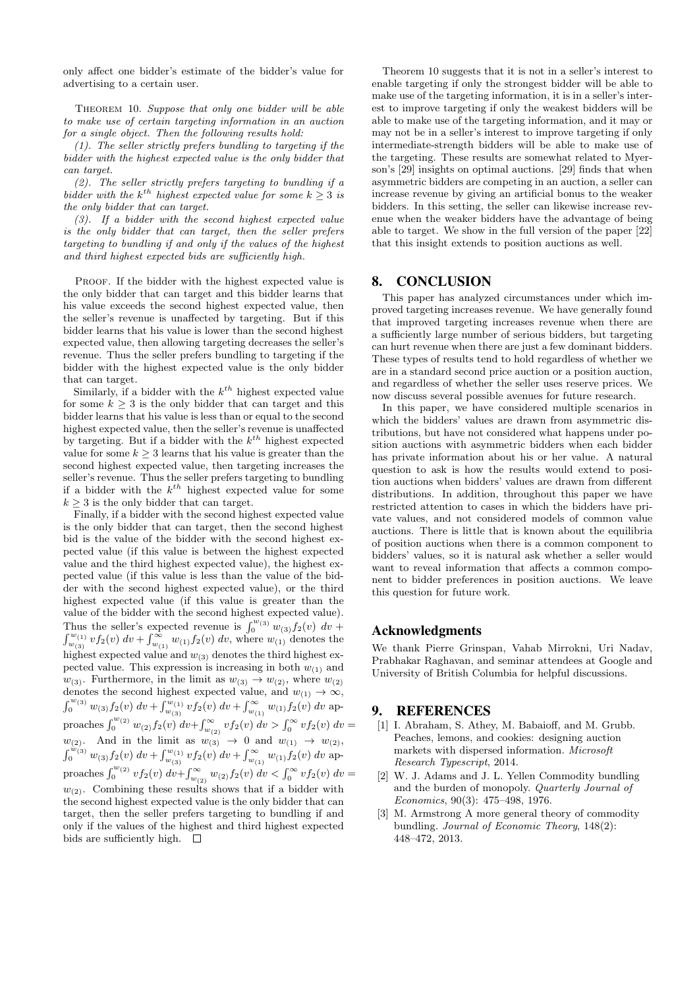only affect one bidder's estimate of the bidder's value for advertising to a certain user.

THEOREM 10. Suppose that only one bidder will be able to make use of certain targeting information in an auction for a single object. Then the following results hold:

(1). The seller strictly prefers bundling to targeting if the bidder with the highest expected value is the only bidder that can target.

(2). The seller strictly prefers targeting to bundling if a bidder with the  $k^{th}$  highest expected value for some  $k \geq 3$  is the only bidder that can target.

(3). If a bidder with the second highest expected value is the only bidder that can target, then the seller prefers targeting to bundling if and only if the values of the highest and third highest expected bids are sufficiently high.

PROOF. If the bidder with the highest expected value is the only bidder that can target and this bidder learns that his value exceeds the second highest expected value, then the seller's revenue is unaffected by targeting. But if this bidder learns that his value is lower than the second highest expected value, then allowing targeting decreases the seller's revenue. Thus the seller prefers bundling to targeting if the bidder with the highest expected value is the only bidder that can target.

Similarly, if a bidder with the  $k^{th}$  highest expected value for some  $k \geq 3$  is the only bidder that can target and this bidder learns that his value is less than or equal to the second highest expected value, then the seller's revenue is unaffected by targeting. But if a bidder with the  $k^{th}$  highest expected value for some  $k \geq 3$  learns that his value is greater than the second highest expected value, then targeting increases the seller's revenue. Thus the seller prefers targeting to bundling if a bidder with the  $k^{th}$  highest expected value for some  $k \geq 3$  is the only bidder that can target.

Finally, if a bidder with the second highest expected value is the only bidder that can target, then the second highest bid is the value of the bidder with the second highest expected value (if this value is between the highest expected value and the third highest expected value), the highest expected value (if this value is less than the value of the bidder with the second highest expected value), or the third highest expected value (if this value is greater than the value of the bidder with the second highest expected value). Thus the seller's expected revenue is  $\int_{w(3)}^{w(3)} w_{(3)} f_2(v) dv + \int_{w(3)}^{w(1)} v f_2(v) dv + \int_{w_{(1)}}^{\infty} w_{(1)} f_2(v) dv$ , where  $w_{(1)}$  denotes the highest expected value and  $w_{(3)}$  denotes the third highest expected value. This expression is increasing in both  $w_{(1)}$  and  $w_{(3)}$ . Furthermore, in the limit as  $w_{(3)} \rightarrow w_{(2)}$ , where  $w_{(2)}$ denotes the second highest expected value, and  $w_{(1)} \to \infty$ ,  $\int_0^{w_{(3)}} w_{(3)} f_2(v) dv + \int_{w_{(3)}}^{w_{(1)}} v f_2(v) dv + \int_{w_{(1)}}^{\infty} w_{(1)} f_2(v) dv$  approaches  $\int_0^{w_{(2)}} w_{(2)} f_2(v) dv + \int_{w_{(2)}}^{\infty} v f_2(v) dv > \int_0^{\infty} v f_2(v) dv =$  $w_{(2)}$ . And in the limit as  $w_{(3)} \rightarrow 0$  and  $w_{(1)} \rightarrow w_{(2)}$ ,  $\int_0^{\dot{w}(3)} w_{(3)} f_2(v) dv + \int_{w_{(3)}}^{w_{(1)}} v f_2(v) dv + \int_{w_{(1)}}^{\infty} w_{(1)} f_2(v) dv$  approaches  $\int_0^{w_{(2)}} v f_2(v) \ dv + \int_{w_{(2)}}^{\infty} w_{(2)} f_2(v) \ dv < \int_0^{\infty} v f_2(v) \ dv =$  $w_{(2)}$ . Combining these results shows that if a bidder with the second highest expected value is the only bidder that can target, then the seller prefers targeting to bundling if and only if the values of the highest and third highest expected bids are sufficiently high.  $\square$ 

Theorem 10 suggests that it is not in a seller's interest to enable targeting if only the strongest bidder will be able to make use of the targeting information, it is in a seller's interest to improve targeting if only the weakest bidders will be able to make use of the targeting information, and it may or may not be in a seller's interest to improve targeting if only intermediate-strength bidders will be able to make use of the targeting. These results are somewhat related to Myerson's [29] insights on optimal auctions. [29] finds that when asymmetric bidders are competing in an auction, a seller can increase revenue by giving an artificial bonus to the weaker bidders. In this setting, the seller can likewise increase revenue when the weaker bidders have the advantage of being able to target. We show in the full version of the paper [22] that this insight extends to position auctions as well.

#### 8. CONCLUSION

This paper has analyzed circumstances under which improved targeting increases revenue. We have generally found that improved targeting increases revenue when there are a sufficiently large number of serious bidders, but targeting can hurt revenue when there are just a few dominant bidders. These types of results tend to hold regardless of whether we are in a standard second price auction or a position auction, and regardless of whether the seller uses reserve prices. We now discuss several possible avenues for future research.

In this paper, we have considered multiple scenarios in which the bidders' values are drawn from asymmetric distributions, but have not considered what happens under position auctions with asymmetric bidders when each bidder has private information about his or her value. A natural question to ask is how the results would extend to position auctions when bidders' values are drawn from different distributions. In addition, throughout this paper we have restricted attention to cases in which the bidders have private values, and not considered models of common value auctions. There is little that is known about the equilibria of position auctions when there is a common component to bidders' values, so it is natural ask whether a seller would want to reveal information that affects a common component to bidder preferences in position auctions. We leave this question for future work.

#### Acknowledgments

We thank Pierre Grinspan, Vahab Mirrokni, Uri Nadav, Prabhakar Raghavan, and seminar attendees at Google and University of British Columbia for helpful discussions.

#### 9. REFERENCES

- [1] I. Abraham, S. Athey, M. Babaioff, and M. Grubb. Peaches, lemons, and cookies: designing auction markets with dispersed information. Microsoft Research Typescript, 2014.
- [2] W. J. Adams and J. L. Yellen Commodity bundling and the burden of monopoly. Quarterly Journal of Economics, 90(3): 475–498, 1976.
- [3] M. Armstrong A more general theory of commodity bundling. Journal of Economic Theory, 148(2): 448–472, 2013.